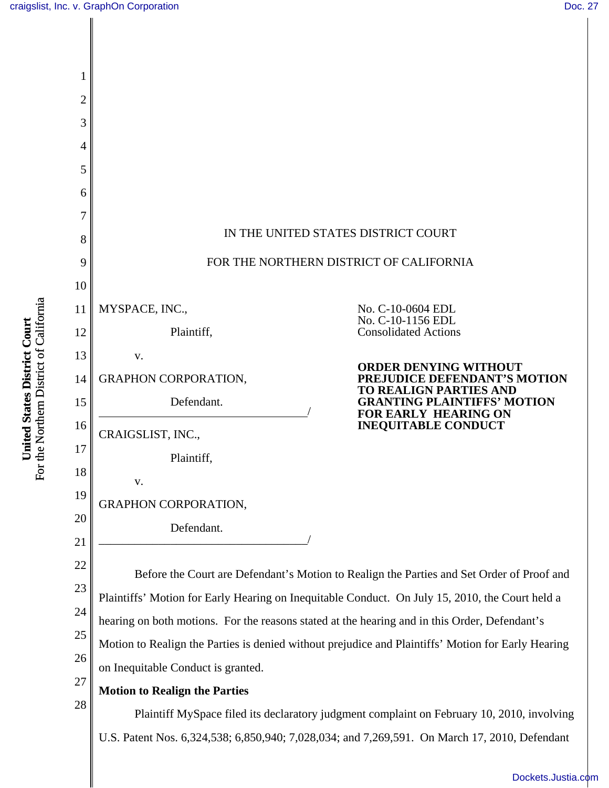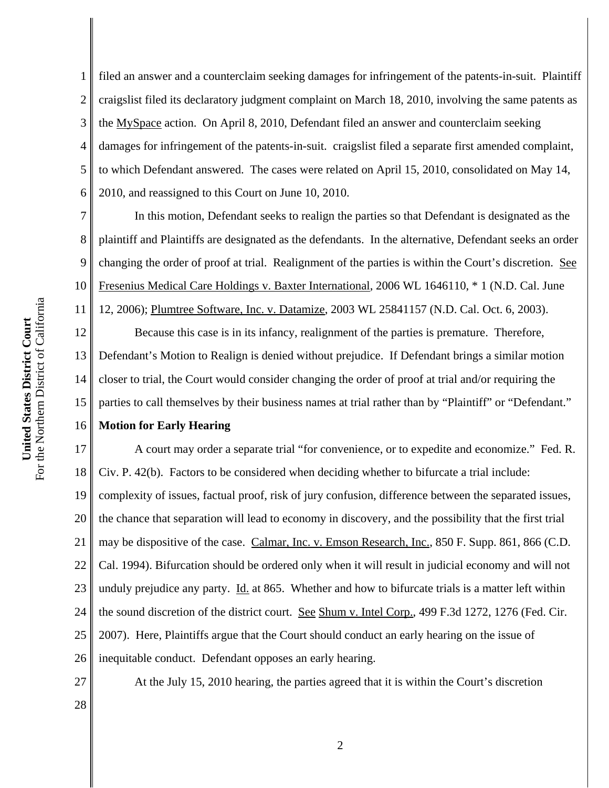1 2 3 4 5 6 filed an answer and a counterclaim seeking damages for infringement of the patents-in-suit. Plaintiff craigslist filed its declaratory judgment complaint on March 18, 2010, involving the same patents as the MySpace action. On April 8, 2010, Defendant filed an answer and counterclaim seeking damages for infringement of the patents-in-suit. craigslist filed a separate first amended complaint, to which Defendant answered. The cases were related on April 15, 2010, consolidated on May 14, 2010, and reassigned to this Court on June 10, 2010.

7 8 9 10 11 12 13 14 15 In this motion, Defendant seeks to realign the parties so that Defendant is designated as the plaintiff and Plaintiffs are designated as the defendants. In the alternative, Defendant seeks an order changing the order of proof at trial. Realignment of the parties is within the Court's discretion. See Fresenius Medical Care Holdings v. Baxter International, 2006 WL 1646110, \* 1 (N.D. Cal. June 12, 2006); Plumtree Software, Inc. v. Datamize, 2003 WL 25841157 (N.D. Cal. Oct. 6, 2003). Because this case is in its infancy, realignment of the parties is premature. Therefore, Defendant's Motion to Realign is denied without prejudice. If Defendant brings a similar motion closer to trial, the Court would consider changing the order of proof at trial and/or requiring the parties to call themselves by their business names at trial rather than by "Plaintiff" or "Defendant."

## 16 **Motion for Early Hearing**

17 18 19 20 21 22 23 24 25 26 A court may order a separate trial "for convenience, or to expedite and economize." Fed. R. Civ. P. 42(b). Factors to be considered when deciding whether to bifurcate a trial include: complexity of issues, factual proof, risk of jury confusion, difference between the separated issues, the chance that separation will lead to economy in discovery, and the possibility that the first trial may be dispositive of the case. Calmar, Inc. v. Emson Research, Inc., 850 F. Supp. 861, 866 (C.D. Cal. 1994). Bifurcation should be ordered only when it will result in judicial economy and will not unduly prejudice any party.  $\underline{Id}$  at 865. Whether and how to bifurcate trials is a matter left within the sound discretion of the district court. See Shum v. Intel Corp., 499 F.3d 1272, 1276 (Fed. Cir. 2007). Here, Plaintiffs argue that the Court should conduct an early hearing on the issue of inequitable conduct. Defendant opposes an early hearing.

28

At the July 15, 2010 hearing, the parties agreed that it is within the Court's discretion

For the Northern District of California For the Northern District of California United States District Court **United States District Court**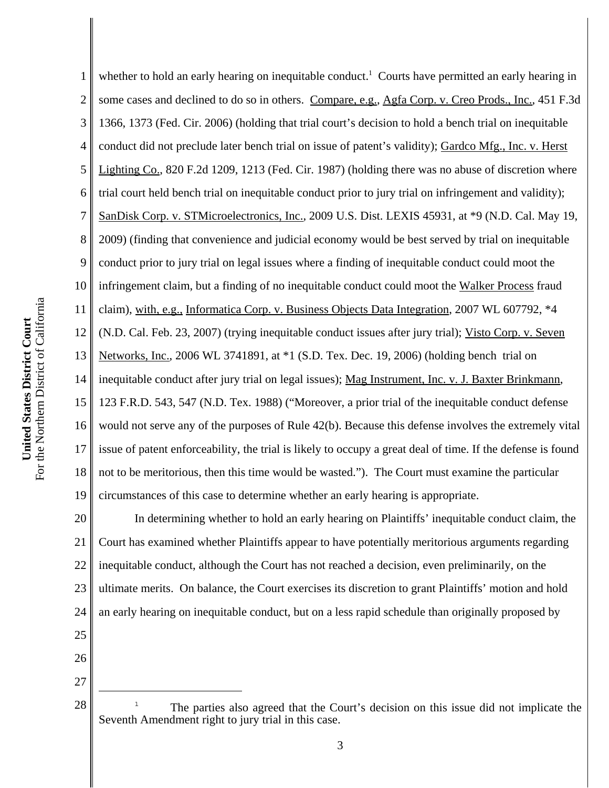3 4 5 6 7 8 9 10 For the Northern District of California For the Northern District of California 11 United States District Court **United States District Court** 12 13 14 15 16 17 18

1 2 19 whether to hold an early hearing on inequitable conduct.<sup>1</sup> Courts have permitted an early hearing in some cases and declined to do so in others. Compare, e.g., Agfa Corp. v. Creo Prods., Inc., 451 F.3d 1366, 1373 (Fed. Cir. 2006) (holding that trial court's decision to hold a bench trial on inequitable conduct did not preclude later bench trial on issue of patent's validity); Gardco Mfg., Inc. v. Herst Lighting Co., 820 F.2d 1209, 1213 (Fed. Cir. 1987) (holding there was no abuse of discretion where trial court held bench trial on inequitable conduct prior to jury trial on infringement and validity); SanDisk Corp. v. STMicroelectronics, Inc., 2009 U.S. Dist. LEXIS 45931, at \*9 (N.D. Cal. May 19, 2009) (finding that convenience and judicial economy would be best served by trial on inequitable conduct prior to jury trial on legal issues where a finding of inequitable conduct could moot the infringement claim, but a finding of no inequitable conduct could moot the Walker Process fraud claim), with, e.g., Informatica Corp. v. Business Objects Data Integration, 2007 WL 607792, \*4 (N.D. Cal. Feb. 23, 2007) (trying inequitable conduct issues after jury trial); Visto Corp. v. Seven Networks, Inc., 2006 WL 3741891, at \*1 (S.D. Tex. Dec. 19, 2006) (holding bench trial on inequitable conduct after jury trial on legal issues); Mag Instrument, Inc. v. J. Baxter Brinkmann, 123 F.R.D. 543, 547 (N.D. Tex. 1988) ("Moreover, a prior trial of the inequitable conduct defense would not serve any of the purposes of Rule 42(b). Because this defense involves the extremely vital issue of patent enforceability, the trial is likely to occupy a great deal of time. If the defense is found not to be meritorious, then this time would be wasted."). The Court must examine the particular circumstances of this case to determine whether an early hearing is appropriate.

20 21 22 23 24 In determining whether to hold an early hearing on Plaintiffs' inequitable conduct claim, the Court has examined whether Plaintiffs appear to have potentially meritorious arguments regarding inequitable conduct, although the Court has not reached a decision, even preliminarily, on the ultimate merits. On balance, the Court exercises its discretion to grant Plaintiffs' motion and hold an early hearing on inequitable conduct, but on a less rapid schedule than originally proposed by

- 25
- 26 27

 $28 \parallel$  The parties also agreed that the Court's decision on this issue did not implicate the Seventh Amendment right to jury trial in this case.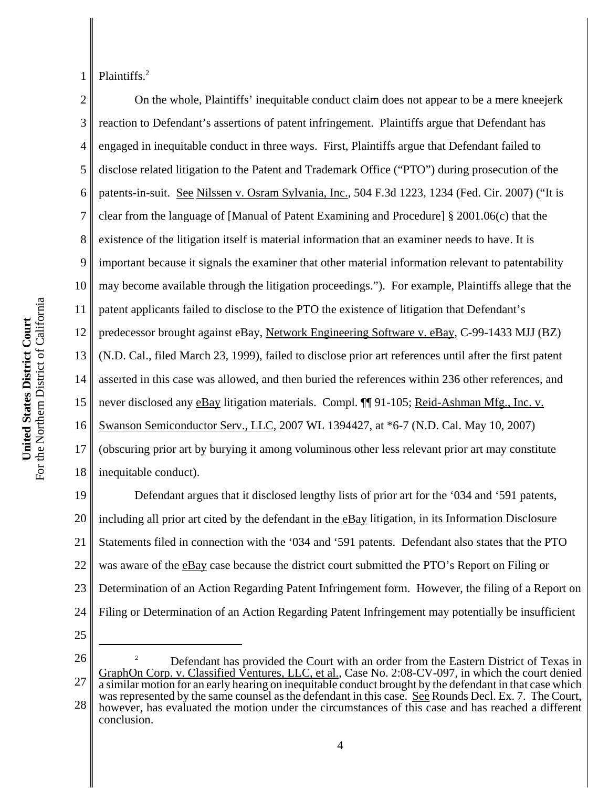For the Northern District of California For the Northern District of California United States District Court **United States District Court**

1 Plaintiffs.<sup>2</sup>

2 3 4 5 6 7 8 9 10 11 12 13 14 15 16 17 18 On the whole, Plaintiffs' inequitable conduct claim does not appear to be a mere kneejerk reaction to Defendant's assertions of patent infringement. Plaintiffs argue that Defendant has engaged in inequitable conduct in three ways. First, Plaintiffs argue that Defendant failed to disclose related litigation to the Patent and Trademark Office ("PTO") during prosecution of the patents-in-suit. See Nilssen v. Osram Sylvania, Inc., 504 F.3d 1223, 1234 (Fed. Cir. 2007) ("It is clear from the language of [Manual of Patent Examining and Procedure] § 2001.06(c) that the existence of the litigation itself is material information that an examiner needs to have. It is important because it signals the examiner that other material information relevant to patentability may become available through the litigation proceedings."). For example, Plaintiffs allege that the patent applicants failed to disclose to the PTO the existence of litigation that Defendant's predecessor brought against eBay, Network Engineering Software v. eBay, C-99-1433 MJJ (BZ) (N.D. Cal., filed March 23, 1999), failed to disclose prior art references until after the first patent asserted in this case was allowed, and then buried the references within 236 other references, and never disclosed any eBay litigation materials. Compl. ¶¶ 91-105; Reid-Ashman Mfg., Inc. v. Swanson Semiconductor Serv., LLC, 2007 WL 1394427, at \*6-7 (N.D. Cal. May 10, 2007) (obscuring prior art by burying it among voluminous other less relevant prior art may constitute inequitable conduct).

19 20 21 22 23 24 Defendant argues that it disclosed lengthy lists of prior art for the '034 and '591 patents, including all prior art cited by the defendant in the eBay litigation, in its Information Disclosure Statements filed in connection with the '034 and '591 patents. Defendant also states that the PTO was aware of the eBay case because the district court submitted the PTO's Report on Filing or Determination of an Action Regarding Patent Infringement form. However, the filing of a Report on Filing or Determination of an Action Regarding Patent Infringement may potentially be insufficient

25

<sup>26</sup> 27 28 <sup>2</sup> Defendant has provided the Court with an order from the Eastern District of Texas in GraphOn Corp. v. Classified Ventures, LLC, et al., Case No. 2:08-CV-097, in which the court denied a similar motion for an early hearing on inequitable conduct brought by the defendant in that case which was represented by the same counsel as the defendant in this case. See Rounds Decl. Ex. 7. The Court, however, has evaluated the motion under the circumstances of this case and has reached a different conclusion.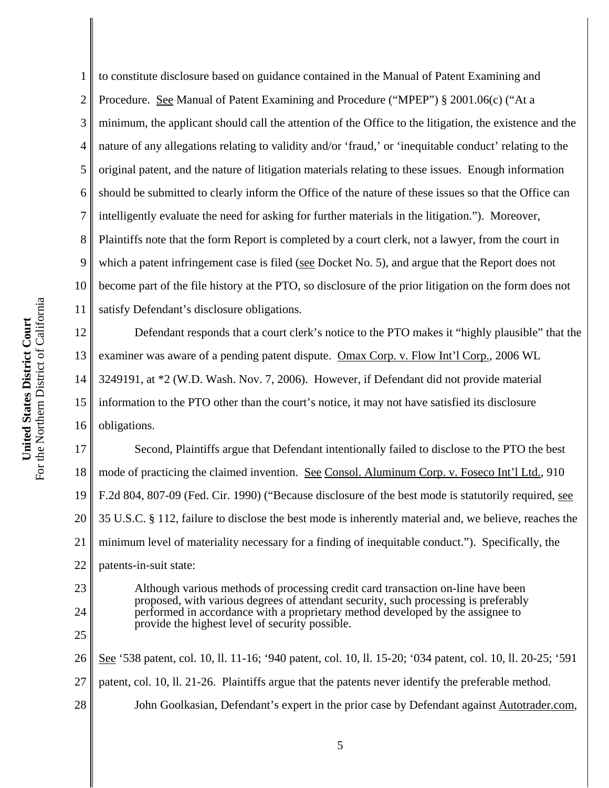1 2 3 4 to constitute disclosure based on guidance contained in the Manual of Patent Examining and Procedure. See Manual of Patent Examining and Procedure ("MPEP") § 2001.06(c) ("At a minimum, the applicant should call the attention of the Office to the litigation, the existence and the nature of any allegations relating to validity and/or 'fraud,' or 'inequitable conduct' relating to the original patent, and the nature of litigation materials relating to these issues. Enough information should be submitted to clearly inform the Office of the nature of these issues so that the Office can intelligently evaluate the need for asking for further materials in the litigation."). Moreover, Plaintiffs note that the form Report is completed by a court clerk, not a lawyer, from the court in which a patent infringement case is filed (see Docket No. 5), and argue that the Report does not become part of the file history at the PTO, so disclosure of the prior litigation on the form does not satisfy Defendant's disclosure obligations.

Defendant responds that a court clerk's notice to the PTO makes it "highly plausible" that the examiner was aware of a pending patent dispute. Omax Corp. v. Flow Int'l Corp., 2006 WL 3249191, at \*2 (W.D. Wash. Nov. 7, 2006). However, if Defendant did not provide material information to the PTO other than the court's notice, it may not have satisfied its disclosure obligations.

18 19 20 21 22 Second, Plaintiffs argue that Defendant intentionally failed to disclose to the PTO the best mode of practicing the claimed invention. See Consol. Aluminum Corp. v. Foseco Int'l Ltd., 910 F.2d 804, 807-09 (Fed. Cir. 1990) ("Because disclosure of the best mode is statutorily required, see 35 U.S.C. § 112, failure to disclose the best mode is inherently material and, we believe, reaches the minimum level of materiality necessary for a finding of inequitable conduct."). Specifically, the patents-in-suit state:

23 24

25

Although various methods of processing credit card transaction on-line have been proposed, with various degrees of attendant security, such processing is preferably performed in accordance with a proprietary method developed by the assignee to provide the highest level of security possible.

26 27 28 See '538 patent, col. 10, ll. 11-16; '940 patent, col. 10, ll. 15-20; '034 patent, col. 10, ll. 20-25; '591 patent, col. 10, ll. 21-26. Plaintiffs argue that the patents never identify the preferable method. John Goolkasian, Defendant's expert in the prior case by Defendant against Autotrader.com,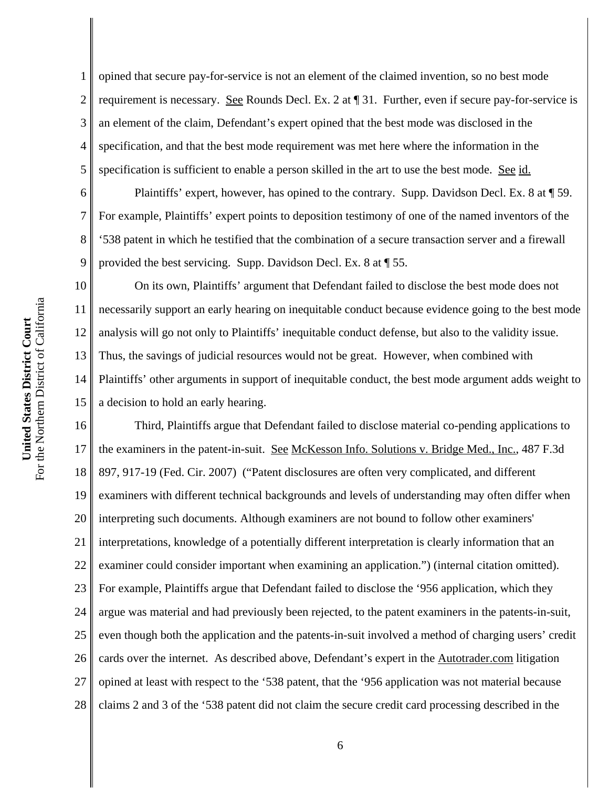For the Northern District of California For the Northern District of California United States District Court **United States District Court**

6

7

8

9

11

1 2 3 4 5 opined that secure pay-for-service is not an element of the claimed invention, so no best mode requirement is necessary. See Rounds Decl. Ex. 2 at ¶ 31. Further, even if secure pay-for-service is an element of the claim, Defendant's expert opined that the best mode was disclosed in the specification, and that the best mode requirement was met here where the information in the specification is sufficient to enable a person skilled in the art to use the best mode. See id.

Plaintiffs' expert, however, has opined to the contrary. Supp. Davidson Decl. Ex. 8 at ¶ 59. For example, Plaintiffs' expert points to deposition testimony of one of the named inventors of the '538 patent in which he testified that the combination of a secure transaction server and a firewall provided the best servicing. Supp. Davidson Decl. Ex. 8 at ¶ 55.

10 12 13 14 15 On its own, Plaintiffs' argument that Defendant failed to disclose the best mode does not necessarily support an early hearing on inequitable conduct because evidence going to the best mode analysis will go not only to Plaintiffs' inequitable conduct defense, but also to the validity issue. Thus, the savings of judicial resources would not be great. However, when combined with Plaintiffs' other arguments in support of inequitable conduct, the best mode argument adds weight to a decision to hold an early hearing.

16 17 18 19 20 21 22 23 24 25 26 27 28 Third, Plaintiffs argue that Defendant failed to disclose material co-pending applications to the examiners in the patent-in-suit. See McKesson Info. Solutions v. Bridge Med., Inc., 487 F.3d 897, 917-19 (Fed. Cir. 2007) ("Patent disclosures are often very complicated, and different examiners with different technical backgrounds and levels of understanding may often differ when interpreting such documents. Although examiners are not bound to follow other examiners' interpretations, knowledge of a potentially different interpretation is clearly information that an examiner could consider important when examining an application.") (internal citation omitted). For example, Plaintiffs argue that Defendant failed to disclose the '956 application, which they argue was material and had previously been rejected, to the patent examiners in the patents-in-suit, even though both the application and the patents-in-suit involved a method of charging users' credit cards over the internet. As described above, Defendant's expert in the Autotrader.com litigation opined at least with respect to the '538 patent, that the '956 application was not material because claims 2 and 3 of the '538 patent did not claim the secure credit card processing described in the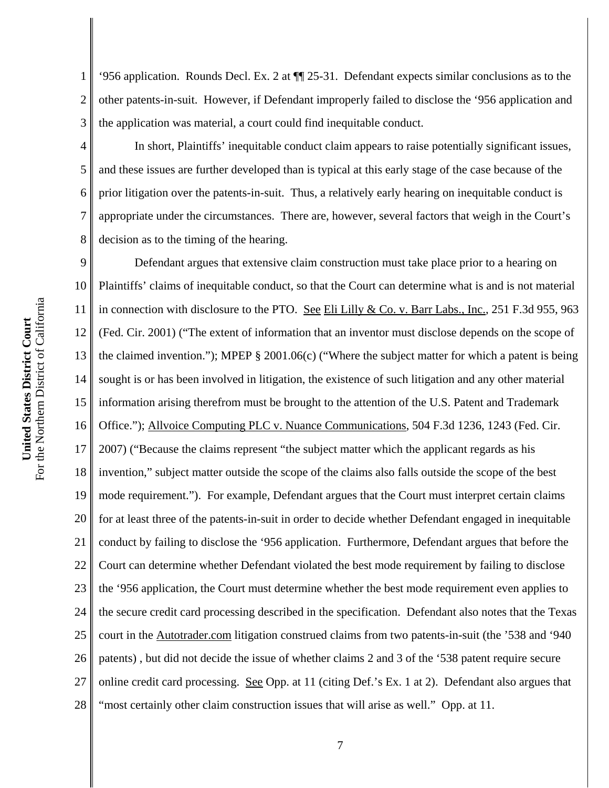1 2 3 '956 application. Rounds Decl. Ex. 2 at ¶¶ 25-31. Defendant expects similar conclusions as to the other patents-in-suit. However, if Defendant improperly failed to disclose the '956 application and the application was material, a court could find inequitable conduct.

In short, Plaintiffs' inequitable conduct claim appears to raise potentially significant issues, and these issues are further developed than is typical at this early stage of the case because of the prior litigation over the patents-in-suit. Thus, a relatively early hearing on inequitable conduct is appropriate under the circumstances. There are, however, several factors that weigh in the Court's decision as to the timing of the hearing.

9 10 11 12 13 14 15 16 17 18 19 20 21 22 23 24 25 26 27 28 Defendant argues that extensive claim construction must take place prior to a hearing on Plaintiffs' claims of inequitable conduct, so that the Court can determine what is and is not material in connection with disclosure to the PTO. See Eli Lilly & Co. v. Barr Labs., Inc., 251 F.3d 955, 963 (Fed. Cir. 2001) ("The extent of information that an inventor must disclose depends on the scope of the claimed invention."); MPEP § 2001.06(c) ("Where the subject matter for which a patent is being sought is or has been involved in litigation, the existence of such litigation and any other material information arising therefrom must be brought to the attention of the U.S. Patent and Trademark Office."); Allvoice Computing PLC v. Nuance Communications, 504 F.3d 1236, 1243 (Fed. Cir. 2007) ("Because the claims represent "the subject matter which the applicant regards as his invention," subject matter outside the scope of the claims also falls outside the scope of the best mode requirement."). For example, Defendant argues that the Court must interpret certain claims for at least three of the patents-in-suit in order to decide whether Defendant engaged in inequitable conduct by failing to disclose the '956 application. Furthermore, Defendant argues that before the Court can determine whether Defendant violated the best mode requirement by failing to disclose the '956 application, the Court must determine whether the best mode requirement even applies to the secure credit card processing described in the specification. Defendant also notes that the Texas court in the Autotrader.com litigation construed claims from two patents-in-suit (the '538 and '940 patents) , but did not decide the issue of whether claims 2 and 3 of the '538 patent require secure online credit card processing. See Opp. at 11 (citing Def.'s Ex. 1 at 2). Defendant also argues that "most certainly other claim construction issues that will arise as well." Opp. at 11.

4

5

6

7

8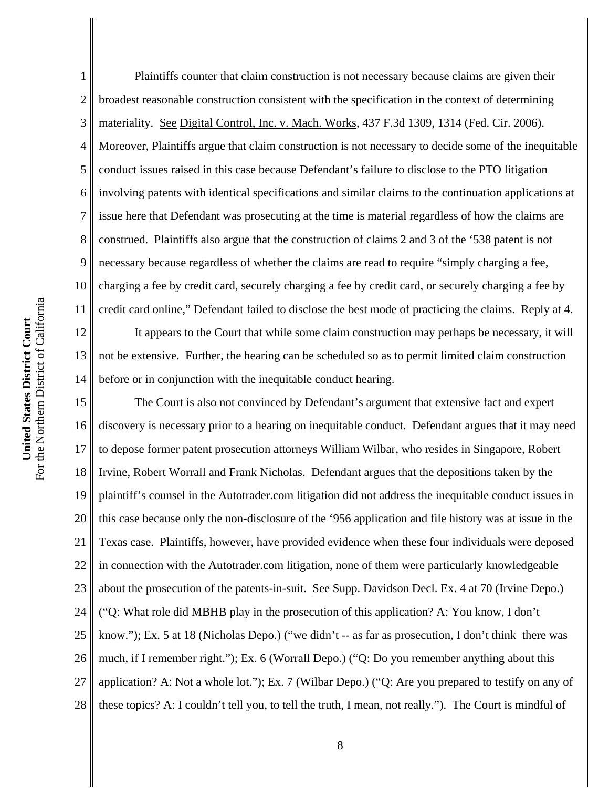1 2 3 4 5 6 7 8 9 10 11 12 13 14 Plaintiffs counter that claim construction is not necessary because claims are given their broadest reasonable construction consistent with the specification in the context of determining materiality. See Digital Control, Inc. v. Mach. Works, 437 F.3d 1309, 1314 (Fed. Cir. 2006). Moreover, Plaintiffs argue that claim construction is not necessary to decide some of the inequitable conduct issues raised in this case because Defendant's failure to disclose to the PTO litigation involving patents with identical specifications and similar claims to the continuation applications at issue here that Defendant was prosecuting at the time is material regardless of how the claims are construed. Plaintiffs also argue that the construction of claims 2 and 3 of the '538 patent is not necessary because regardless of whether the claims are read to require "simply charging a fee, charging a fee by credit card, securely charging a fee by credit card, or securely charging a fee by credit card online," Defendant failed to disclose the best mode of practicing the claims. Reply at 4. It appears to the Court that while some claim construction may perhaps be necessary, it will not be extensive. Further, the hearing can be scheduled so as to permit limited claim construction before or in conjunction with the inequitable conduct hearing.

15 16 17 18 19 20 21 22 23 24 25 26 27 28 The Court is also not convinced by Defendant's argument that extensive fact and expert discovery is necessary prior to a hearing on inequitable conduct. Defendant argues that it may need to depose former patent prosecution attorneys William Wilbar, who resides in Singapore, Robert Irvine, Robert Worrall and Frank Nicholas. Defendant argues that the depositions taken by the plaintiff's counsel in the Autotrader.com litigation did not address the inequitable conduct issues in this case because only the non-disclosure of the '956 application and file history was at issue in the Texas case. Plaintiffs, however, have provided evidence when these four individuals were deposed in connection with the Autotrader.com litigation, none of them were particularly knowledgeable about the prosecution of the patents-in-suit. See Supp. Davidson Decl. Ex. 4 at 70 (Irvine Depo.) ("Q: What role did MBHB play in the prosecution of this application? A: You know, I don't know."); Ex. 5 at 18 (Nicholas Depo.) ("we didn't -- as far as prosecution, I don't think there was much, if I remember right."); Ex. 6 (Worrall Depo.) ("Q: Do you remember anything about this application? A: Not a whole lot."); Ex. 7 (Wilbar Depo.) ("Q: Are you prepared to testify on any of these topics? A: I couldn't tell you, to tell the truth, I mean, not really."). The Court is mindful of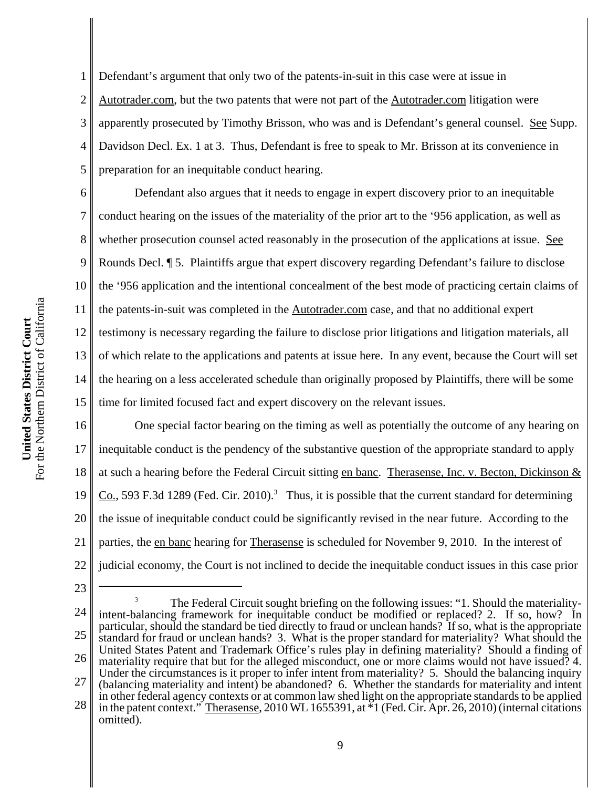1 2 3 4 5 Defendant's argument that only two of the patents-in-suit in this case were at issue in Autotrader.com, but the two patents that were not part of the Autotrader.com litigation were apparently prosecuted by Timothy Brisson, who was and is Defendant's general counsel. See Supp. Davidson Decl. Ex. 1 at 3. Thus, Defendant is free to speak to Mr. Brisson at its convenience in preparation for an inequitable conduct hearing.

6 7 8 9 10 11 12 13 14 15 Defendant also argues that it needs to engage in expert discovery prior to an inequitable conduct hearing on the issues of the materiality of the prior art to the '956 application, as well as whether prosecution counsel acted reasonably in the prosecution of the applications at issue. See Rounds Decl. ¶ 5. Plaintiffs argue that expert discovery regarding Defendant's failure to disclose the '956 application and the intentional concealment of the best mode of practicing certain claims of the patents-in-suit was completed in the Autotrader.com case, and that no additional expert testimony is necessary regarding the failure to disclose prior litigations and litigation materials, all of which relate to the applications and patents at issue here. In any event, because the Court will set the hearing on a less accelerated schedule than originally proposed by Plaintiffs, there will be some time for limited focused fact and expert discovery on the relevant issues.

16 17 18 19 20 21 22 One special factor bearing on the timing as well as potentially the outcome of any hearing on inequitable conduct is the pendency of the substantive question of the appropriate standard to apply at such a hearing before the Federal Circuit sitting en banc. Therasense, Inc. v. Becton, Dickinson &  $Co., 593 F.3d 1289$  (Fed. Cir. 2010).<sup>3</sup> Thus, it is possible that the current standard for determining the issue of inequitable conduct could be significantly revised in the near future. According to the parties, the en banc hearing for Therasense is scheduled for November 9, 2010. In the interest of judicial economy, the Court is not inclined to decide the inequitable conduct issues in this case prior

<sup>23</sup>

<sup>24</sup>

<sup>25</sup> 26 27 28 <sup>3</sup> The Federal Circuit sought briefing on the following issues: "1. Should the materialityintent-balancing framework for inequitable conduct be modified or replaced? 2. If so, how? In particular, should the standard be tied directly to fraud or unclean hands? If so, what is the appropriate standard for fraud or unclean hands? 3. What is the proper standard for materiality? What should the United States Patent and Trademark Office's rules play in defining materiality? Should a finding of materiality require that but for the alleged misconduct, one or more claims would not have issued? 4. Under the circumstances is it proper to infer intent from materiality? 5. Should the balancing inquiry (balancing materiality and intent) be abandoned? 6. Whether the standards for materiality and intent in other federal agency contexts or at common law shed light on the appropriate standards to be applied in the patent context." Therasense, 2010 WL 1655391, at \*1 (Fed. Cir. Apr. 26, 2010) (internal citations omitted).